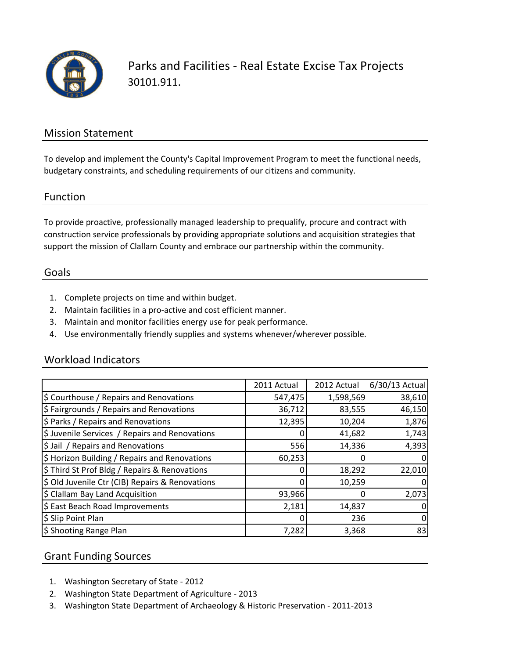

Parks and Facilities - Real Estate Excise Tax Projects 30101.911.

### Mission Statement

To develop and implement the County's Capital Improvement Program to meet the functional needs, budgetary constraints, and scheduling requirements of our citizens and community.

#### Function

To provide proactive, professionally managed leadership to prequalify, procure and contract with construction service professionals by providing appropriate solutions and acquisition strategies that support the mission of Clallam County and embrace our partnership within the community.

#### Goals

- 1. Complete projects on time and within budget.
- 2. Maintain facilities in a pro-active and cost efficient manner.
- 3. Maintain and monitor facilities energy use for peak performance.
- 4. Use environmentally friendly supplies and systems whenever/wherever possible.

### Workload Indicators

|                                                 | 2011 Actual | 2012 Actual | 6/30/13 Actual |
|-------------------------------------------------|-------------|-------------|----------------|
| \$ Courthouse / Repairs and Renovations         | 547,475     | 1,598,569   | 38,610         |
| \$ Fairgrounds / Repairs and Renovations        | 36,712      | 83,555      | 46,150         |
| \$ Parks / Repairs and Renovations              | 12,395      | 10,204      | 1,876          |
| \$ Juvenile Services / Repairs and Renovations  |             | 41,682      | 1,743          |
| \$ Jail / Repairs and Renovations               | 556         | 14,336      | 4,393          |
| \$ Horizon Building / Repairs and Renovations   | 60,253      |             |                |
| \$ Third St Prof Bldg / Repairs & Renovations   |             | 18,292      | 22,010         |
| \$ Old Juvenile Ctr (CIB) Repairs & Renovations |             | 10,259      |                |
| \$ Clallam Bay Land Acquisition                 | 93,966      |             | 2,073          |
| \$ East Beach Road Improvements                 | 2,181       | 14,837      |                |
| \$ Slip Point Plan                              | 0           | 236         | 0              |
| \$ Shooting Range Plan                          | 7,282       | 3,368       | 83             |

## Grant Funding Sources

- 1. Washington Secretary of State 2012
- 2. Washington State Department of Agriculture 2013
- 3. Washington State Department of Archaeology & Historic Preservation 2011-2013